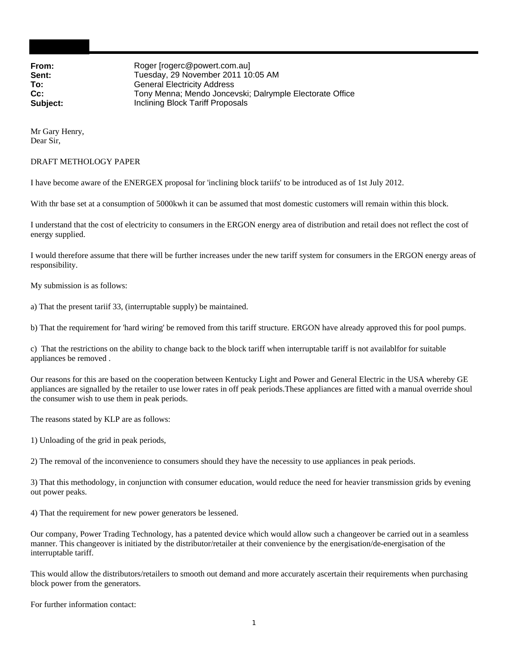**From:** Roger [rogerc@powert.com.au] **Sent:** Tuesday, 29 November 2011 10:05 AM<br> **To:** General Electricity Address **General Electricity Address Cc:** Tony Menna; Mendo Joncevski; Dalrymple Electorate Office **Subject:** Inclining Block Tariff Proposals

Mr Gary Henry, Dear Sir,

## DRAFT METHOLOGY PAPER

I have become aware of the ENERGEX proposal for 'inclining block tariifs' to be introduced as of 1st July 2012.

With thr base set at a consumption of 5000kwh it can be assumed that most domestic customers will remain within this block.

I understand that the cost of electricity to consumers in the ERGON energy area of distribution and retail does not reflect the cost of energy supplied.

I would therefore assume that there will be further increases under the new tariff system for consumers in the ERGON energy areas of responsibility.

My submission is as follows:

a) That the present tariif 33, (interruptable supply) be maintained.

b) That the requirement for 'hard wiring' be removed from this tariff structure. ERGON have already approved this for pool pumps.

c) That the restrictions on the ability to change back to the block tariff when interruptable tariff is not availablfor for suitable appliances be removed .

Our reasons for this are based on the cooperation between Kentucky Light and Power and General Electric in the USA whereby GE appliances are signalled by the retailer to use lower rates in off peak periods.These appliances are fitted with a manual override shoul the consumer wish to use them in peak periods.

The reasons stated by KLP are as follows:

1) Unloading of the grid in peak periods,

2) The removal of the inconvenience to consumers should they have the necessity to use appliances in peak periods.

3) That this methodology, in conjunction with consumer education, would reduce the need for heavier transmission grids by evening out power peaks.

4) That the requirement for new power generators be lessened.

Our company, Power Trading Technology, has a patented device which would allow such a changeover be carried out in a seamless manner. This changeover is initiated by the distributor/retailer at their convenience by the energisation/de-energisation of the interruptable tariff.

This would allow the distributors/retailers to smooth out demand and more accurately ascertain their requirements when purchasing block power from the generators.

For further information contact: